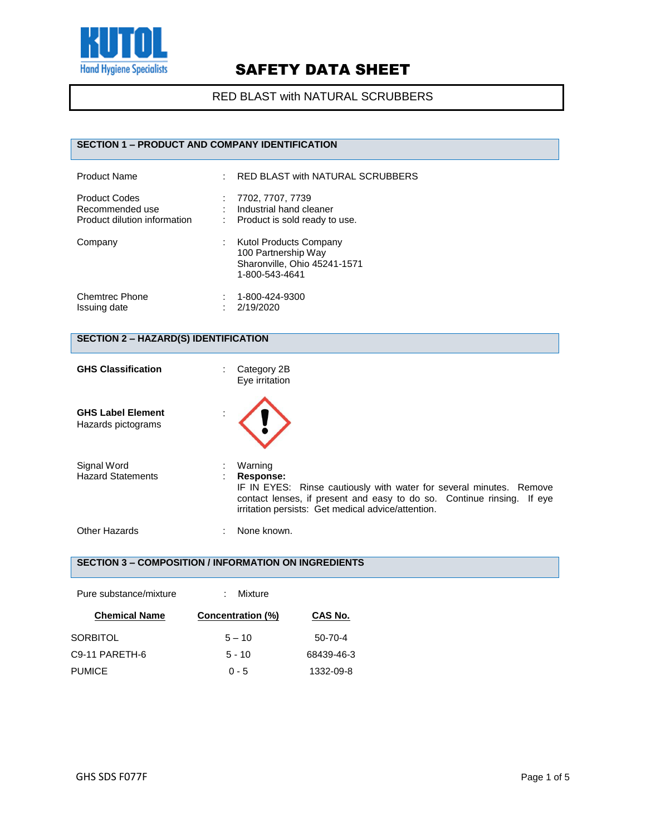

### RED BLAST with NATURAL SCRUBBERS

## **SECTION 1 – PRODUCT AND COMPANY IDENTIFICATION**

| <b>Product Name</b>                                                     | ÷ | RED BLAST with NATURAL SCRUBBERS                                                                       |
|-------------------------------------------------------------------------|---|--------------------------------------------------------------------------------------------------------|
| <b>Product Codes</b><br>Recommended use<br>Product dilution information |   | 7702, 7707, 7739<br>Industrial hand cleaner<br>Product is sold ready to use.                           |
| Company                                                                 |   | <b>Kutol Products Company</b><br>100 Partnership Way<br>Sharonville, Ohio 45241-1571<br>1-800-543-4641 |
| <b>Chemtrec Phone</b><br>Issuing date                                   |   | 1-800-424-9300<br>2/19/2020                                                                            |

## **SECTION 2 – HAZARD(S) IDENTIFICATION**

| <b>GHS Classification</b>                      | Category 2B<br>÷.<br>Eye irritation                                                                                                                                                                                         |  |
|------------------------------------------------|-----------------------------------------------------------------------------------------------------------------------------------------------------------------------------------------------------------------------------|--|
| <b>GHS Label Element</b><br>Hazards pictograms |                                                                                                                                                                                                                             |  |
| Signal Word<br><b>Hazard Statements</b>        | Warning<br>Response:<br>IF IN EYES: Rinse cautiously with water for several minutes. Remove<br>contact lenses, if present and easy to do so. Continue rinsing. If eye<br>irritation persists: Get medical advice/attention. |  |
| Other Hazards                                  | None known.                                                                                                                                                                                                                 |  |

### **SECTION 3 – COMPOSITION / INFORMATION ON INGREDIENTS**

| Pure substance/mixture | Mixture           |            |
|------------------------|-------------------|------------|
| <b>Chemical Name</b>   | Concentration (%) | CAS No.    |
| <b>SORBITOL</b>        | $5 - 10$          | 50-70-4    |
| C9-11 PARETH-6         | $5 - 10$          | 68439-46-3 |
| <b>PUMICE</b>          | $0 - 5$           | 1332-09-8  |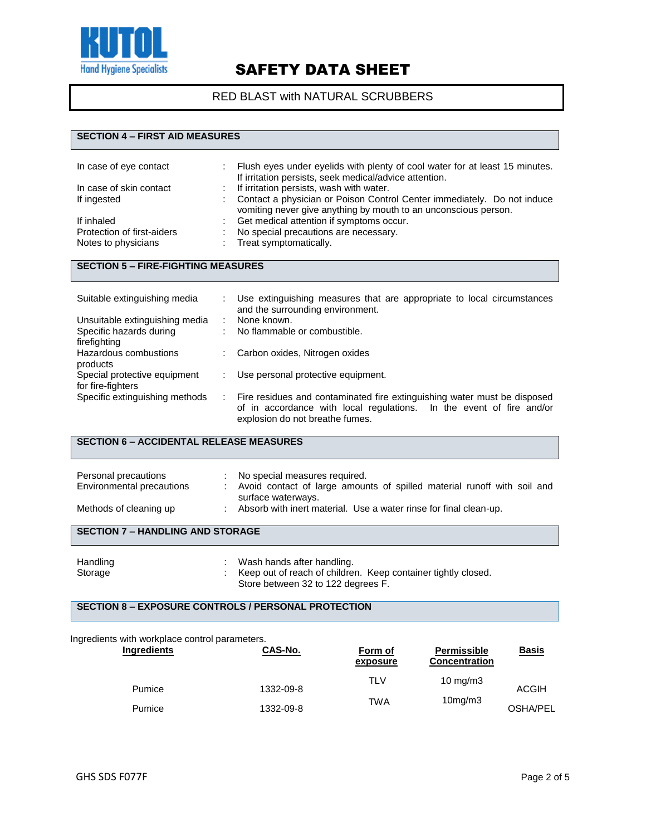

### RED BLAST with NATURAL SCRUBBERS

### **SECTION 4 – FIRST AID MEASURES**

| In case of eye contact     | Flush eyes under eyelids with plenty of cool water for at least 15 minutes.<br>If irritation persists, seek medical/advice attention.      |
|----------------------------|--------------------------------------------------------------------------------------------------------------------------------------------|
| In case of skin contact    | : If irritation persists, wash with water.                                                                                                 |
| If ingested                | Contact a physician or Poison Control Center immediately. Do not induce<br>vomiting never give anything by mouth to an unconscious person. |
| If inhaled                 | Get medical attention if symptoms occur.                                                                                                   |
| Protection of first-aiders | No special precautions are necessary.                                                                                                      |
| Notes to physicians        | Treat symptomatically.                                                                                                                     |

#### **SECTION 5 – FIRE-FIGHTING MEASURES**

| Suitable extinguishing media   | Use extinguishing measures that are appropriate to local circumstances<br>and the surrounding environment. |
|--------------------------------|------------------------------------------------------------------------------------------------------------|
| Unsuitable extinguishing media | None known.                                                                                                |
| Specific hazards during        | No flammable or combustible.                                                                               |
| firefighting                   |                                                                                                            |
| Hazardous combustions          | Carbon oxides, Nitrogen oxides                                                                             |
| products                       |                                                                                                            |
| Special protective equipment   | Use personal protective equipment.                                                                         |
| for fire-fighters              |                                                                                                            |
| Specific extinguishing methods | Fire residues and contaminated fire extinguishing water must be disposed                                   |
|                                | of in accordance with local regulations. In the event of fire and/or<br>explosion do not breathe fumes.    |
|                                |                                                                                                            |

### **SECTION 6 – ACCIDENTAL RELEASE MEASURES**

| Personal precautions<br>Environmental precautions<br>Methods of cleaning up |  | : No special measures required.<br>: Avoid contact of large amounts of spilled material runoff with soil and<br>surface waterways.<br>: Absorb with inert material. Use a water rinse for final clean-up. |
|-----------------------------------------------------------------------------|--|-----------------------------------------------------------------------------------------------------------------------------------------------------------------------------------------------------------|
| <b>SECTION 7 - HANDLING AND STORAGE</b>                                     |  |                                                                                                                                                                                                           |

| Handling | Wash hands after handling.                                    |
|----------|---------------------------------------------------------------|
| Storage  | Keep out of reach of children. Keep container tightly closed. |
|          | Store between 32 to 122 degrees F.                            |

## **SECTION 8 – EXPOSURE CONTROLS / PERSONAL PROTECTION**

#### Ingredients with workplace control parameters.

| Ingredients | CAS-No.   | Form of<br>exposure | <b>Permissible</b><br><b>Concentration</b> | <b>Basis</b> |
|-------------|-----------|---------------------|--------------------------------------------|--------------|
| Pumice      | 1332-09-8 | TL V                | 10 mg/m $3$                                | <b>ACGIH</b> |
|             |           | <b>TWA</b>          | 10 <sub>mg</sub> /m3                       |              |
| Pumice      | 1332-09-8 |                     |                                            | OSHA/PEL     |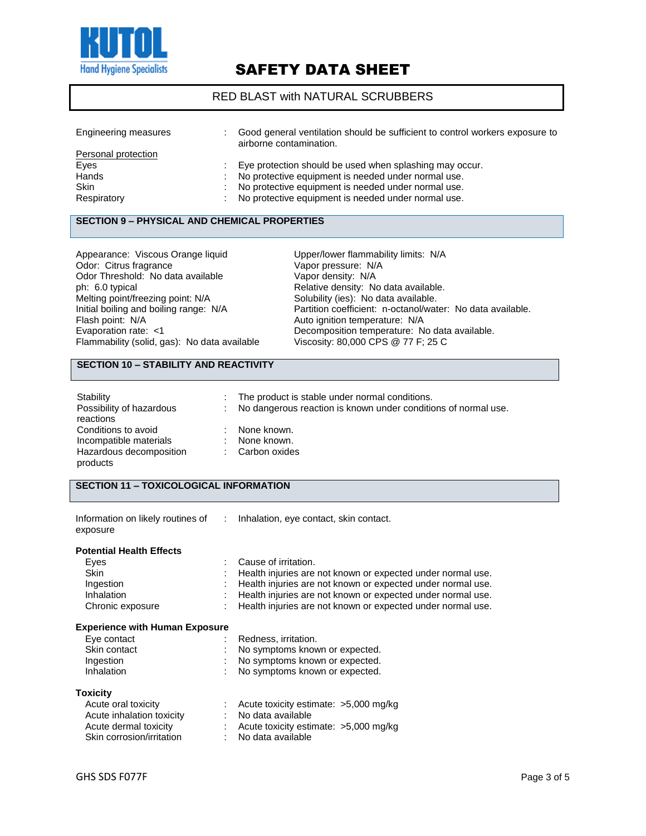

### RED BLAST with NATURAL SCRUBBERS

| Engineering measures | Good general ventilation should be sufficient to control workers exposure to<br>airborne contamination. |
|----------------------|---------------------------------------------------------------------------------------------------------|
| Personal protection  |                                                                                                         |
| Eyes                 | Eye protection should be used when splashing may occur.                                                 |
| Hands                | No protective equipment is needed under normal use.                                                     |
| <b>Skin</b>          | No protective equipment is needed under normal use.                                                     |
| Respiratory          | No protective equipment is needed under normal use.                                                     |

#### **SECTION 9 – PHYSICAL AND CHEMICAL PROPERTIES**

| Appearance: Viscous Orange liquid            |
|----------------------------------------------|
| Odor: Citrus fragrance                       |
| Odor Threshold: No data available            |
| ph: 6.0 typical                              |
| Melting point/freezing point: N/A            |
| Initial boiling and boiling range: N/A       |
| Flash point: N/A                             |
| Evaporation rate: <1                         |
| Flammability (solid, gas): No data available |

Upper/lower flammability limits: N/A Vapor pressure: N/A Vapor density: N/A Relative density: No data available. Solubility (ies): No data available. Partition coefficient: n-octanol/water: No data available. Auto ignition temperature: N/A Decomposition temperature: No data available. ty (solid, gas): No data available  $\hskip1cm$  Viscosity: 80,000 CPS @ 77 F; 25 C

## **SECTION 10 – STABILITY AND REACTIVITY**

| Stability                | ÷. | The product is stable under normal conditions.                 |
|--------------------------|----|----------------------------------------------------------------|
| Possibility of hazardous | ÷. | No dangerous reaction is known under conditions of normal use. |
| reactions                |    |                                                                |
| Conditions to avoid      |    | None known.                                                    |
| Incompatible materials   |    | None known.                                                    |
| Hazardous decomposition  |    | : Carbon oxides                                                |
| products                 |    |                                                                |

| <b>SECTION 11 - TOXICOLOGICAL INFORMATION</b> |               |                                                             |  |  |
|-----------------------------------------------|---------------|-------------------------------------------------------------|--|--|
| Information on likely routines of<br>exposure | $\mathcal{L}$ | Inhalation, eye contact, skin contact.                      |  |  |
| <b>Potential Health Effects</b>               |               |                                                             |  |  |
| Eyes                                          |               | Cause of irritation.                                        |  |  |
| <b>Skin</b>                                   |               | Health injuries are not known or expected under normal use. |  |  |
| Ingestion                                     |               | Health injuries are not known or expected under normal use. |  |  |
| Inhalation                                    |               | Health injuries are not known or expected under normal use. |  |  |
| Chronic exposure                              |               | Health injuries are not known or expected under normal use. |  |  |
| <b>Experience with Human Exposure</b>         |               |                                                             |  |  |
| Eye contact                                   |               | Redness, irritation.                                        |  |  |
| Skin contact                                  |               | No symptoms known or expected.                              |  |  |
| Ingestion                                     |               | No symptoms known or expected.                              |  |  |
| Inhalation                                    |               | No symptoms known or expected.                              |  |  |
| <b>Toxicity</b>                               |               |                                                             |  |  |
| Acute oral toxicity                           |               | Acute toxicity estimate: $>5,000$ mg/kg                     |  |  |
| Acute inhalation toxicity                     |               | No data available                                           |  |  |
| Acute dermal toxicity                         |               | Acute toxicity estimate: $>5,000$ mg/kg                     |  |  |

Skin corrosion/irritation : No data available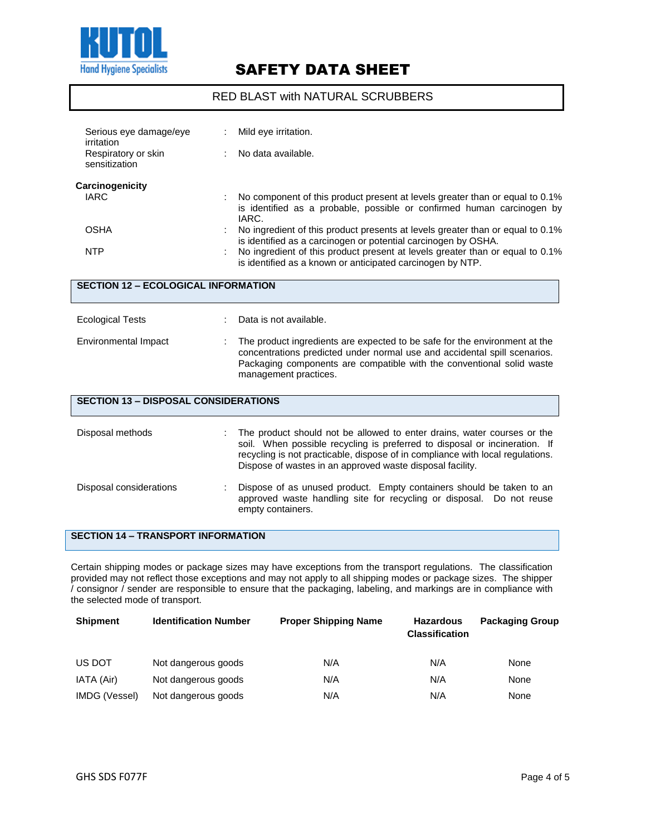

### RED BLAST with NATURAL SCRUBBERS

| Serious eye damage/eye<br>irritation<br>Respiratory or skin<br>sensitization |  | Mild eye irritation.<br>No data available.                                                                                                                                                                                                                                                                                                                                                                                                                         |  |  |  |  |
|------------------------------------------------------------------------------|--|--------------------------------------------------------------------------------------------------------------------------------------------------------------------------------------------------------------------------------------------------------------------------------------------------------------------------------------------------------------------------------------------------------------------------------------------------------------------|--|--|--|--|
| Carcinogenicity<br><b>IARC</b><br><b>OSHA</b><br><b>NTP</b>                  |  | No component of this product present at levels greater than or equal to 0.1%<br>is identified as a probable, possible or confirmed human carcinogen by<br>IARC.<br>No ingredient of this product presents at levels greater than or equal to 0.1%<br>is identified as a carcinogen or potential carcinogen by OSHA.<br>No ingredient of this product present at levels greater than or equal to 0.1%<br>is identified as a known or anticipated carcinogen by NTP. |  |  |  |  |
| <b>SECTION 12 - ECOLOGICAL INFORMATION</b>                                   |  |                                                                                                                                                                                                                                                                                                                                                                                                                                                                    |  |  |  |  |
| <b>Ecological Tests</b><br>Environmental Impact                              |  | Data is not available.<br>The product ingredients are expected to be safe for the environment at the<br>concentrations predicted under normal use and accidental spill scenarios.<br>Packaging components are compatible with the conventional solid waste<br>management practices.                                                                                                                                                                                |  |  |  |  |
| <b>SECTION 13 - DISPOSAL CONSIDERATIONS</b>                                  |  |                                                                                                                                                                                                                                                                                                                                                                                                                                                                    |  |  |  |  |
| Disposal methods                                                             |  | The product should not be allowed to enter drains, water courses or the<br>soil. When possible recycling is preferred to disposal or incineration. If<br>recycling is not practicable, dispose of in compliance with local regulations.<br>Dispose of wastes in an approved waste disposal facility.                                                                                                                                                               |  |  |  |  |
| Disposal considerations                                                      |  | Dispose of as unused product. Empty containers should be taken to an<br>approved waste handling site for recycling or disposal. Do not reuse<br>empty containers.                                                                                                                                                                                                                                                                                                  |  |  |  |  |

**SECTION 14 – TRANSPORT INFORMATION**

Certain shipping modes or package sizes may have exceptions from the transport regulations. The classification provided may not reflect those exceptions and may not apply to all shipping modes or package sizes. The shipper / consignor / sender are responsible to ensure that the packaging, labeling, and markings are in compliance with the selected mode of transport.

| <b>Shipment</b> | <b>Identification Number</b> | <b>Proper Shipping Name</b> | <b>Hazardous</b><br><b>Classification</b> | <b>Packaging Group</b> |
|-----------------|------------------------------|-----------------------------|-------------------------------------------|------------------------|
| US DOT          | Not dangerous goods          | N/A                         | N/A                                       | None                   |
| IATA (Air)      | Not dangerous goods          | N/A                         | N/A                                       | None                   |
| IMDG (Vessel)   | Not dangerous goods          | N/A                         | N/A                                       | None                   |